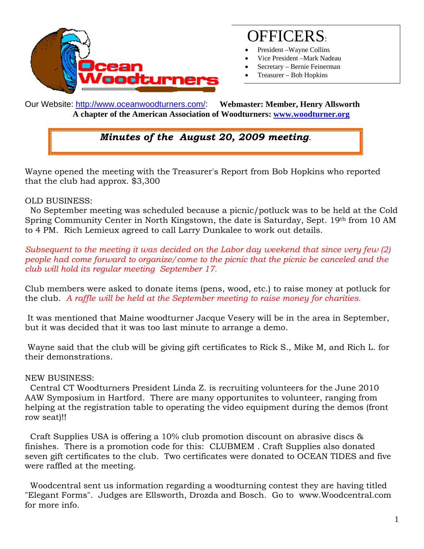

# OFFICERS:

- President –Wayne Collins
- Vice President –Mark Nadeau
- Secretary Bernie Feinerman
- Treasurer Bob Hopkins

Our Website: http://www.oceanwoodturners.com/: **Webmaster: Member, Henry Allsworth A chapter of the American Association of Woodturners: www.woodturner.org** 

### *Minutes of the August 20, 2009 meeting.*

Wayne opened the meeting with the Treasurer's Report from Bob Hopkins who reported that the club had approx. \$3,300

#### OLD BUSINESS:

 No September meeting was scheduled because a picnic/potluck was to be held at the Cold Spring Community Center in North Kingstown, the date is Saturday, Sept. 19th from 10 AM to 4 PM. Rich Lemieux agreed to call Larry Dunkalee to work out details.

*Subsequent to the meeting it was decided on the Labor day weekend that since very few (2) people had come forward to organize/come to the picnic that the picnic be canceled and the club will hold its regular meeting September 17.* 

Club members were asked to donate items (pens, wood, etc.) to raise money at potluck for the club. *A raffle will be held at the September meeting to raise money for charities.* 

 It was mentioned that Maine woodturner Jacque Vesery will be in the area in September, but it was decided that it was too last minute to arrange a demo.

 Wayne said that the club will be giving gift certificates to Rick S., Mike M, and Rich L. for their demonstrations.

#### NEW BUSINESS:

 Central CT Woodturners President Linda Z. is recruiting volunteers for the June 2010 AAW Symposium in Hartford. There are many opportunites to volunteer, ranging from helping at the registration table to operating the video equipment during the demos (front row seat)!!

 Craft Supplies USA is offering a 10% club promotion discount on abrasive discs & finishes. There is a promotion code for this: CLUBMEM . Craft Supplies also donated seven gift certificates to the club. Two certificates were donated to OCEAN TIDES and five were raffled at the meeting.

 Woodcentral sent us information regarding a woodturning contest they are having titled "Elegant Forms". Judges are Ellsworth, Drozda and Bosch. Go to www.Woodcentral.com for more info.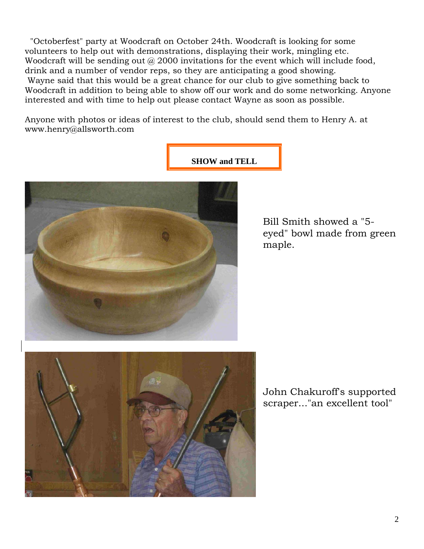"Octoberfest" party at Woodcraft on October 24th. Woodcraft is looking for some volunteers to help out with demonstrations, displaying their work, mingling etc. Woodcraft will be sending out  $\omega$  2000 invitations for the event which will include food, drink and a number of vendor reps, so they are anticipating a good showing. Wayne said that this would be a great chance for our club to give something back to Woodcraft in addition to being able to show off our work and do some networking. Anyone interested and with time to help out please contact Wayne as soon as possible.

**SHOW and TELL** 

Anyone with photos or ideas of interest to the club, should send them to Henry A. at www.henry@allsworth.com



Bill Smith showed a "5 eyed" bowl made from green maple.



John Chakuroff's supported scraper..."an excellent tool"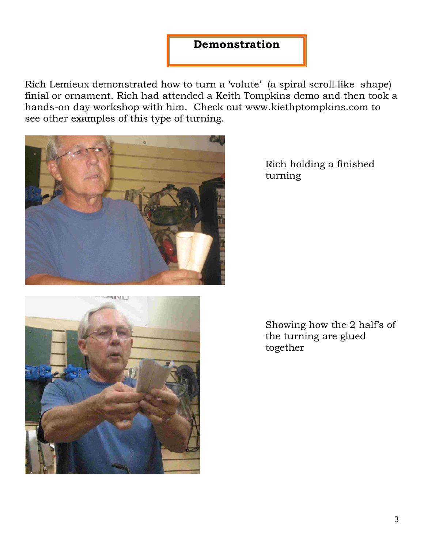## **Demonstration**

Rich Lemieux demonstrated how to turn a 'volute' (a spiral scroll like shape) finial or ornament. Rich had attended a Keith Tompkins demo and then took a hands-on day workshop with him. Check out www.kiethptompkins.com to see other examples of this type of turning.



Rich holding a finished turning



Showing how the 2 half's of the turning are glued together